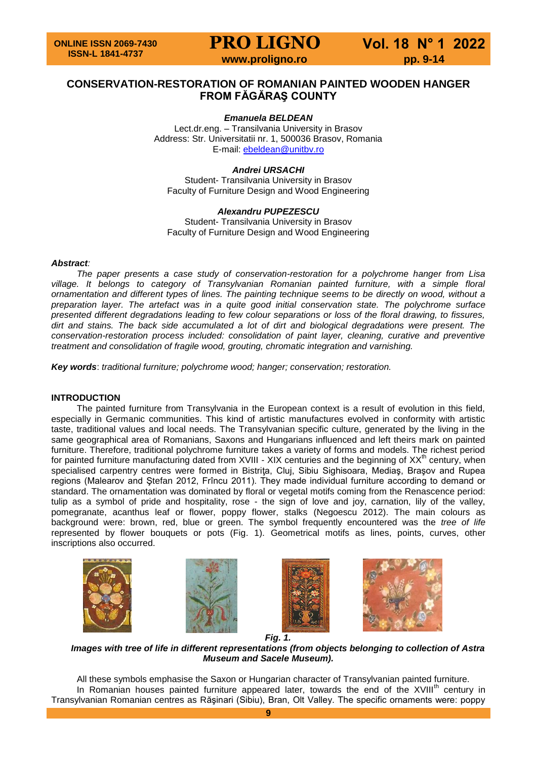**PRO LIGNO Vol. 18 N° 1 2022 www.proligno.ro pp. 9-14** 

### **CONSERVATION-RESTORATION OF ROMANIAN PAINTED WOODEN HANGER FROM FĂGĂRAŞ COUNTY**

#### *Emanuela BELDEAN*

Lect.dr.eng. – Transilvania University in Brasov Address: Str. Universitatii nr. 1, 500036 Brasov, Romania E-mail: [ebeldean@unitbv.ro](mailto:ebeldean@unitbv.ro)

#### *Andrei URSACHI*

Student- Transilvania University in Brasov Faculty of Furniture Design and Wood Engineering

#### *Alexandru PUPEZESCU* Student- Transilvania University in Brasov Faculty of Furniture Design and Wood Engineering

#### *Abstract:*

*The paper presents a case study of conservation-restoration for a polychrome hanger from Lisa village. It belongs to category of Transylvanian Romanian painted furniture, with a simple floral ornamentation and different types of lines. The painting technique seems to be directly on wood, without a preparation layer. The artefact was in a quite good initial conservation state. The polychrome surface presented different degradations leading to few colour separations or loss of the floral drawing, to fissures, dirt and stains. The back side accumulated a lot of dirt and biological degradations were present. The conservation-restoration process included: consolidation of paint layer, cleaning, curative and preventive treatment and consolidation of fragile wood, grouting, chromatic integration and varnishing.*

*Key words*: *traditional furniture; polychrome wood; hanger; conservation; restoration.*

#### **INTRODUCTION**

The painted furniture from Transylvania in the European context is a result of evolution in this field, especially in Germanic communities. This kind of artistic manufactures evolved in conformity with artistic taste, traditional values and local needs. The Transylvanian specific culture, generated by the living in the same geographical area of Romanians, Saxons and Hungarians influenced and left theirs mark on painted furniture. Therefore, traditional polychrome furniture takes a variety of forms and models. The richest period for painted furniture manufacturing dated from XVIII - XIX centuries and the beginning of XX<sup>th</sup> century, when specialised carpentry centres were formed in Bistrita, Cluj, Sibiu Sighisoara, Medias, Brasov and Rupea regions (Malearov and Ştefan 2012, Frîncu 2011). They made individual furniture according to demand or standard. The ornamentation was dominated by floral or vegetal motifs coming from the Renascence period: tulip as a symbol of pride and hospitality, rose - the sign of love and joy, carnation, lily of the valley, pomegranate, acanthus leaf or flower, poppy flower, stalks (Negoescu 2012). The main colours as background were: brown, red, blue or green. The symbol frequently encountered was the *tree of life* represented by flower bouquets or pots (Fig. 1). Geometrical motifs as lines, points, curves, other inscriptions also occurred.









*Images with tree of life in different representations (from objects belonging to collection of Astra Museum and Sacele Museum).*

All these symbols emphasise the Saxon or Hungarian character of Transylvanian painted furniture. In Romanian houses painted furniture appeared later, towards the end of the XVIII<sup>th</sup> century in Transylvanian Romanian centres as Răşinari (Sibiu), Bran, Olt Valley. The specific ornaments were: poppy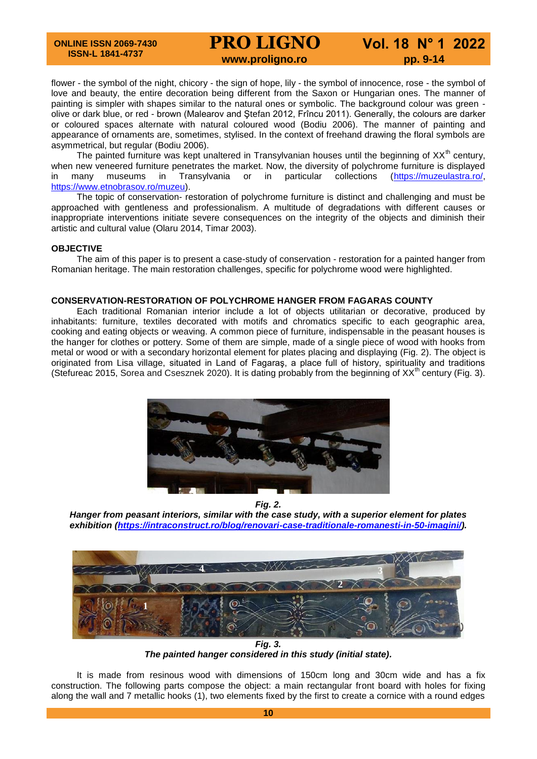# **PRO LIGNO Vol. 18 N° 1 2022 www.proligno.ro pp. 9-14**

flower - the symbol of the night, chicory - the sign of hope, lily - the symbol of innocence, rose - the symbol of love and beauty, the entire decoration being different from the Saxon or Hungarian ones. The manner of painting is simpler with shapes similar to the natural ones or symbolic. The background colour was green olive or dark blue, or red - brown (Malearov and Ştefan 2012, Frîncu 2011). Generally, the colours are darker or coloured spaces alternate with natural coloured wood (Bodiu 2006). The manner of painting and appearance of ornaments are, sometimes, stylised. In the context of freehand drawing the floral symbols are asymmetrical, but regular (Bodiu 2006).

The painted furniture was kept unaltered in Transylvanian houses until the beginning of  $XX<sup>th</sup>$  century, when new veneered furniture penetrates the market. Now, the diversity of polychrome furniture is displayed in many museums in Transylvania or in particular collections [\(https://muzeulastra.ro/,](https://muzeulastra.ro/) [https://www.etnobrasov.ro/muzeu\)](https://www.etnobrasov.ro/muzeu).

The topic of conservation- restoration of polychrome furniture is distinct and challenging and must be approached with gentleness and professionalism. A multitude of degradations with different causes or inappropriate interventions initiate severe consequences on the integrity of the objects and diminish their artistic and cultural value (Olaru 2014, Timar 2003).

#### **OBJECTIVE**

The aim of this paper is to present a case-study of conservation - restoration for a painted hanger from Romanian heritage. The main restoration challenges, specific for polychrome wood were highlighted.

#### **CONSERVATION-RESTORATION OF POLYCHROME HANGER FROM FAGARAS COUNTY**

Each traditional Romanian interior include a lot of objects utilitarian or decorative, produced by inhabitants: furniture, textiles decorated with motifs and chromatics specific to each geographic area, cooking and eating objects or weaving. A common piece of furniture, indispensable in the peasant houses is the hanger for clothes or pottery. Some of them are simple, made of a single piece of wood with hooks from metal or wood or with a secondary horizontal element for plates placing and displaying (Fig. 2). The object is originated from Lisa village, situated in Land of Fagaraş, a place full of history, spirituality and traditions (Stefureac 2015, Sorea and Csesznek 2020). It is dating probably from the beginning of  $XX<sup>th</sup>$  century (Fig. 3).



*Fig. 2.*

*Hanger from peasant interiors, similar with the case study, with a superior element for plates exhibition [\(https://intraconstruct.ro/blog/renovari-case-traditionale-romanesti-in-50-imagini/\)](https://intraconstruct.ro/blog/renovari-case-traditionale-romanesti-in-50-imagini/).*



*Fig. 3. The painted hanger considered in this study (initial state).*

It is made from resinous wood with dimensions of 150cm long and 30cm wide and has a fix construction. The following parts compose the object: a main rectangular front board with holes for fixing along the wall and 7 metallic hooks (1), two elements fixed by the first to create a cornice with a round edges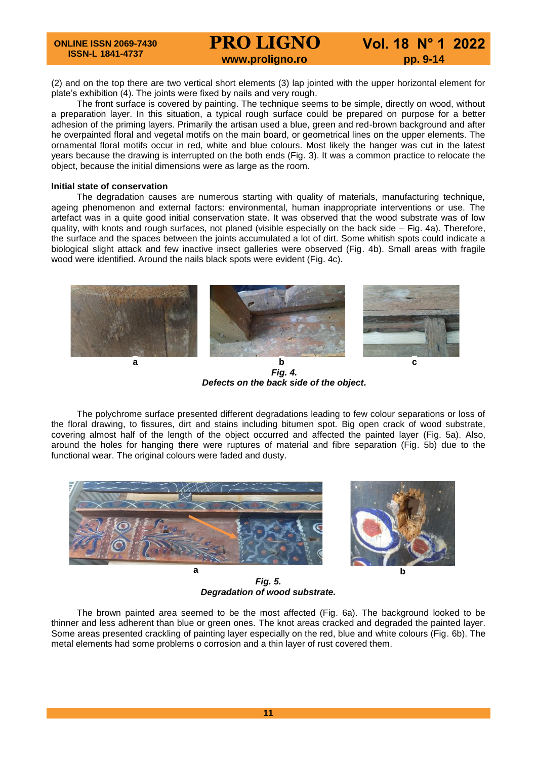(2) and on the top there are two vertical short elements (3) lap jointed with the upper horizontal element for plate's exhibition (4). The joints were fixed by nails and very rough.

The front surface is covered by painting. The technique seems to be simple, directly on wood, without a preparation layer. In this situation, a typical rough surface could be prepared on purpose for a better adhesion of the priming layers. Primarily the artisan used a blue, green and red-brown background and after he overpainted floral and vegetal motifs on the main board, or geometrical lines on the upper elements. The ornamental floral motifs occur in red, white and blue colours. Most likely the hanger was cut in the latest years because the drawing is interrupted on the both ends (Fig. 3). It was a common practice to relocate the object, because the initial dimensions were as large as the room.

#### **Initial state of conservation**

The degradation causes are numerous starting with quality of materials, manufacturing technique, ageing phenomenon and external factors: environmental, human inappropriate interventions or use. The artefact was in a quite good initial conservation state. It was observed that the wood substrate was of low quality, with knots and rough surfaces, not planed (visible especially on the back side – Fig. 4a). Therefore, the surface and the spaces between the joints accumulated a lot of dirt. Some whitish spots could indicate a biological slight attack and few inactive insect galleries were observed (Fig. 4b). Small areas with fragile wood were identified. Around the nails black spots were evident (Fig. 4c).



*Fig. 4. Defects on the back side of the object.*

The polychrome surface presented different degradations leading to few colour separations or loss of the floral drawing, to fissures, dirt and stains including bitumen spot. Big open crack of wood substrate, covering almost half of the length of the object occurred and affected the painted layer (Fig. 5a). Also, around the holes for hanging there were ruptures of material and fibre separation (Fig. 5b) due to the functional wear. The original colours were faded and dusty.





*Fig. 5. Degradation of wood substrate.*

The brown painted area seemed to be the most affected (Fig. 6a). The background looked to be thinner and less adherent than blue or green ones. The knot areas cracked and degraded the painted layer. Some areas presented crackling of painting layer especially on the red, blue and white colours (Fig. 6b). The metal elements had some problems o corrosion and a thin layer of rust covered them.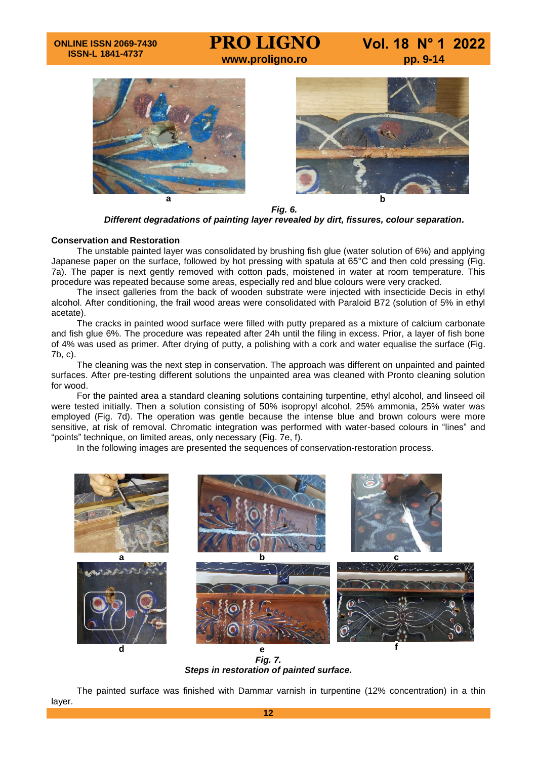# **www.proligno.ro pp. 9-14**

**PRO LIGNO Vol. 18 N° 1 2022**





*Fig. 6. Different degradations of painting layer revealed by dirt, fissures, colour separation.*

#### **Conservation and Restoration**

The unstable painted layer was consolidated by brushing fish glue (water solution of 6%) and applying Japanese paper on the surface, followed by hot pressing with spatula at 65°C and then cold pressing (Fig. 7a). The paper is next gently removed with cotton pads, moistened in water at room temperature. This procedure was repeated because some areas, especially red and blue colours were very cracked.

The insect galleries from the back of wooden substrate were injected with insecticide Decis in ethyl alcohol. After conditioning, the frail wood areas were consolidated with Paraloid B72 (solution of 5% in ethyl acetate).

The cracks in painted wood surface were filled with putty prepared as a mixture of calcium carbonate and fish glue 6%. The procedure was repeated after 24h until the filing in excess. Prior, a layer of fish bone of 4% was used as primer. After drying of putty, a polishing with a cork and water equalise the surface (Fig. 7b, c).

The cleaning was the next step in conservation. The approach was different on unpainted and painted surfaces. After pre-testing different solutions the unpainted area was cleaned with Pronto cleaning solution for wood.

For the painted area a standard cleaning solutions containing turpentine, ethyl alcohol, and linseed oil were tested initially. Then a solution consisting of 50% isopropyl alcohol, 25% ammonia, 25% water was employed (Fig. 7d). The operation was gentle because the intense blue and brown colours were more sensitive, at risk of removal. Chromatic integration was performed with water-based colours in "lines" and "points" technique, on limited areas, only necessary (Fig. 7e, f).

In the following images are presented the sequences of conservation-restoration process.



*Fig. 7. Steps in restoration of painted surface.*

The painted surface was finished with Dammar varnish in turpentine (12% concentration) in a thin layer.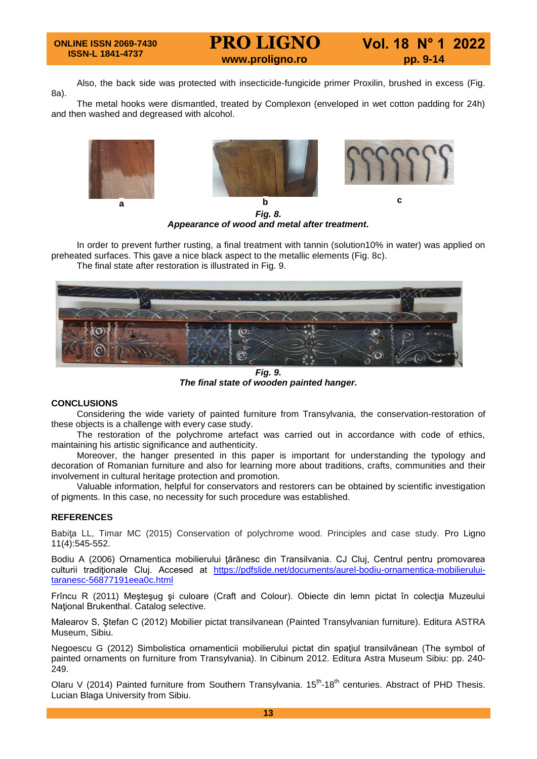## **PRO LIGNO Vol. 18 N° 1 2022 www.proligno.ro pp. 9-14**

Also, the back side was protected with insecticide-fungicide primer Proxilin, brushed in excess (Fig. 8a).

The metal hooks were dismantled, treated by Complexon (enveloped in wet cotton padding for 24h) and then washed and degreased with alcohol.



*Fig. 8. Appearance of wood and metal after treatment.*

In order to prevent further rusting, a final treatment with tannin (solution10% in water) was applied on preheated surfaces. This gave a nice black aspect to the metallic elements (Fig. 8c).

The final state after restoration is illustrated in Fig. 9.



*Fig. 9. The final state of wooden painted hanger.*

#### **CONCLUSIONS**

Considering the wide variety of painted furniture from Transylvania, the conservation-restoration of these objects is a challenge with every case study.

The restoration of the polychrome artefact was carried out in accordance with code of ethics, maintaining his artistic significance and authenticity.

Moreover, the hanger presented in this paper is important for understanding the typology and decoration of Romanian furniture and also for learning more about traditions, crafts, communities and their involvement in cultural heritage protection and promotion.

Valuable information, helpful for conservators and restorers can be obtained by scientific investigation of pigments. In this case, no necessity for such procedure was established.

#### **REFERENCES**

Babita LL, Timar MC (2015) Conservation of polychrome wood. Principles and case study. Pro Ligno 11(4):545-552.

Bodiu A (2006) Ornamentica mobilierului ţărănesc din Transilvania. CJ Cluj, Centrul pentru promovarea culturii tradiționale Cluj. Accesed at [https://pdfslide.net/documents/aurel-bodiu-ornamentica-mobilierului](https://pdfslide.net/documents/aurel-bodiu-ornamentica-mobilierului-taranesc-56877191eea0c.html)[taranesc-56877191eea0c.html](https://pdfslide.net/documents/aurel-bodiu-ornamentica-mobilierului-taranesc-56877191eea0c.html)

Frîncu R (2011) Meşteşug şi culoare (Craft and Colour). Obiecte din lemn pictat în colecția Muzeului National Brukenthal. Catalog selective.

Malearov S, Ştefan C (2012) Mobilier pictat transilvanean (Painted Transylvanian furniture). Editura ASTRA Museum, Sibiu.

Negoescu G (2012) Simbolistica ornamenticii mobilierului pictat din spaţiul transilvănean (The symbol of painted ornaments on furniture from Transylvania). In Cibinum 2012. Editura Astra Museum Sibiu: pp. 240- 249.

Olaru V (2014) Painted furniture from Southern Transylvania. 15<sup>th</sup>-18<sup>th</sup> centuries. Abstract of PHD Thesis. Lucian Blaga University from Sibiu.